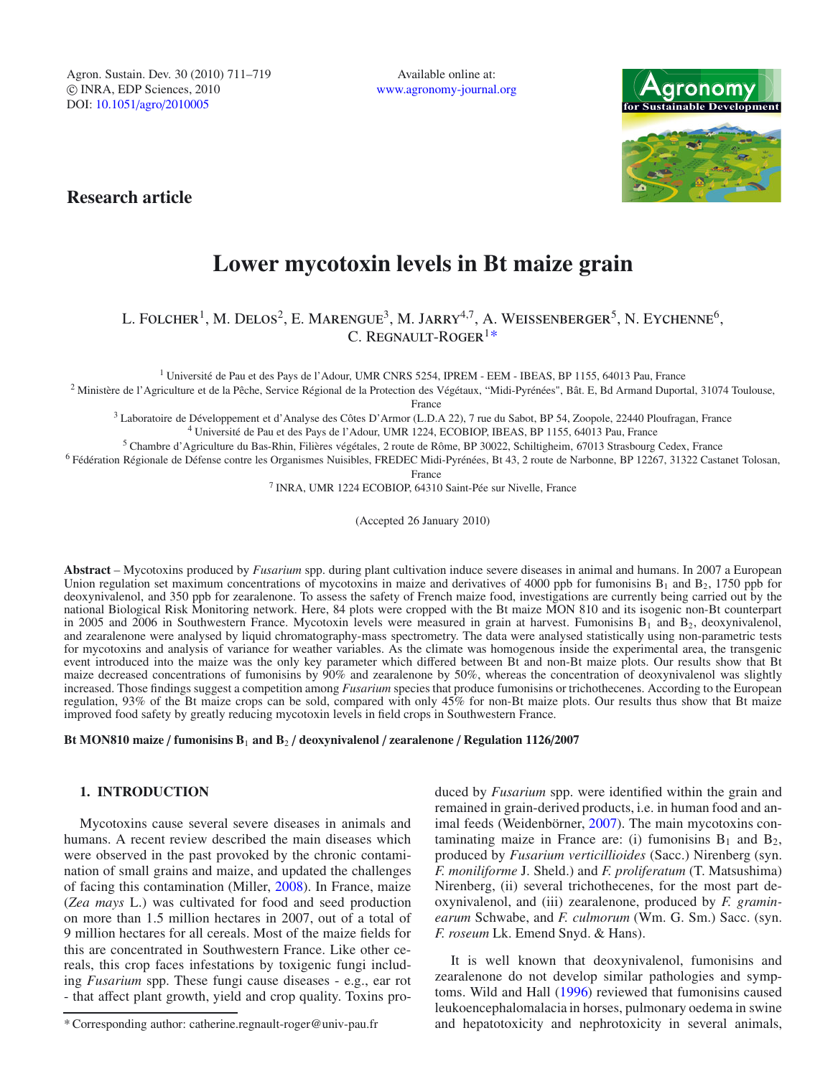Agron. Sustain. Dev. 30 (2010) 711–719 -c INRA, EDP Sciences, 2010 DOI: 10.1051/agro/2010005

Available online at: www.agronomy-journal.org



**Research article**

# **Lower mycotoxin levels in Bt maize grain**

L. FOLCHER<sup>1</sup>, M. DELOS<sup>2</sup>, E. MARENGUE<sup>3</sup>, M. JARRY<sup>4,7</sup>, A. WEISSENBERGER<sup>5</sup>, N. EYCHENNE<sup>6</sup>, C. REGNAULT-ROGER<sup>1\*</sup>

<sup>1</sup> Université de Pau et des Pays de l'Adour, UMR CNRS 5254, IPREM - EEM - IBEAS, BP 1155, 64013 Pau, France

<sup>2</sup> Ministère de l'Agriculture et de la Pêche, Service Régional de la Protection des Végétaux, "Midi-Pyrénées", Bât. E, Bd Armand Duportal, 31074 Toulouse,

France

<sup>3</sup> Laboratoire de Développement et d'Analyse des Côtes D'Armor (L.D.A 22), 7 rue du Sabot, BP 54, Zoopole, 22440 Ploufragan, France

<sup>4</sup> Université de Pau et des Pays de l'Adour, UMR 1224, ECOBIOP, IBEAS, BP 1155, 64013 Pau, France

<sup>5</sup> Chambre d'Agriculture du Bas-Rhin, Filières végétales, 2 route de Rôme, BP 30022, Schiltigheim, 67013 Strasbourg Cedex, France

<sup>6</sup> Fédération Régionale de Défense contre les Organismes Nuisibles, FREDEC Midi-Pyrénées, Bt 43, 2 route de Narbonne, BP 12267, 31322 Castanet Tolosan, France

<sup>7</sup> INRA, UMR 1224 ECOBIOP, 64310 Saint-Pée sur Nivelle, France

(Accepted 26 January 2010)

**Abstract** – Mycotoxins produced by *Fusarium* spp. during plant cultivation induce severe diseases in animal and humans. In 2007 a European Union regulation set maximum concentrations of mycotoxins in maize and derivatives of 4000 ppb for fumonisins  $B_1$  and  $B_2$ , 1750 ppb for deoxynivalenol, and 350 ppb for zearalenone. To assess the safety of French maize food, investigations are currently being carried out by the national Biological Risk Monitoring network. Here, 84 plots were cropped with the Bt maize MON 810 and its isogenic non-Bt counterpart in 2005 and 2006 in Southwestern France. Mycotoxin levels were measured in grain at harvest. Fumonisins  $B_1$  and  $B_2$ , deoxynivalenol, and zearalenone were analysed by liquid chromatography-mass spectrometry. The data were analysed statistically using non-parametric tests for mycotoxins and analysis of variance for weather variables. As the climate was homogenous inside the experimental area, the transgenic event introduced into the maize was the only key parameter which differed between Bt and non-Bt maize plots. Our results show that Bt maize decreased concentrations of fumonisins by  $90\%$  and zearalenone by 50%, whereas the concentration of deoxynivalenol was slightly increased. Those findings suggest a competition among *Fusarium* species that produce fumonisins or trichothecenes. According to the European regulation, 93% of the Bt maize crops can be sold, compared with only 45% for non-Bt maize plots. Our results thus show that Bt maize improved food safety by greatly reducing mycotoxin levels in field crops in Southwestern France.

**Bt MON810 maize** / **fumonisins B**<sup>1</sup> **and B**<sup>2</sup> / **deoxynivalenol** / **zearalenone** / **Regulation 1126**/**2007**

## **1. INTRODUCTION**

Mycotoxins cause several severe diseases in animals and humans. A recent review described the main diseases which were observed in the past provoked by the chronic contamination of small grains and maize, and updated the challenges of facing this contamination (Miller, 2008). In France, maize (*Zea mays* L.) was cultivated for food and seed production on more than 1.5 million hectares in 2007, out of a total of 9 million hectares for all cereals. Most of the maize fields for this are concentrated in Southwestern France. Like other cereals, this crop faces infestations by toxigenic fungi including *Fusarium* spp. These fungi cause diseases - e.g., ear rot - that affect plant growth, yield and crop quality. Toxins pro-

duced by *Fusarium* spp. were identified within the grain and remained in grain-derived products, i.e. in human food and animal feeds (Weidenbörner, 2007). The main mycotoxins contaminating maize in France are: (i) fumonisins  $B_1$  and  $B_2$ , produced by *Fusarium verticillioides* (Sacc.) Nirenberg (syn. *F. moniliforme* J. Sheld.) and *F. proliferatum* (T. Matsushima) Nirenberg, (ii) several trichothecenes, for the most part deoxynivalenol, and (iii) zearalenone, produced by *F. graminearum* Schwabe, and *F. culmorum* (Wm. G. Sm.) Sacc. (syn. *F. roseum* Lk. Emend Snyd. & Hans).

It is well known that deoxynivalenol, fumonisins and zearalenone do not develop similar pathologies and symptoms. Wild and Hall (1996) reviewed that fumonisins caused leukoencephalomalacia in horses, pulmonary oedema in swine and hepatotoxicity and nephrotoxicity in several animals,

<sup>\*</sup> Corresponding author: catherine.regnault-roger@univ-pau.fr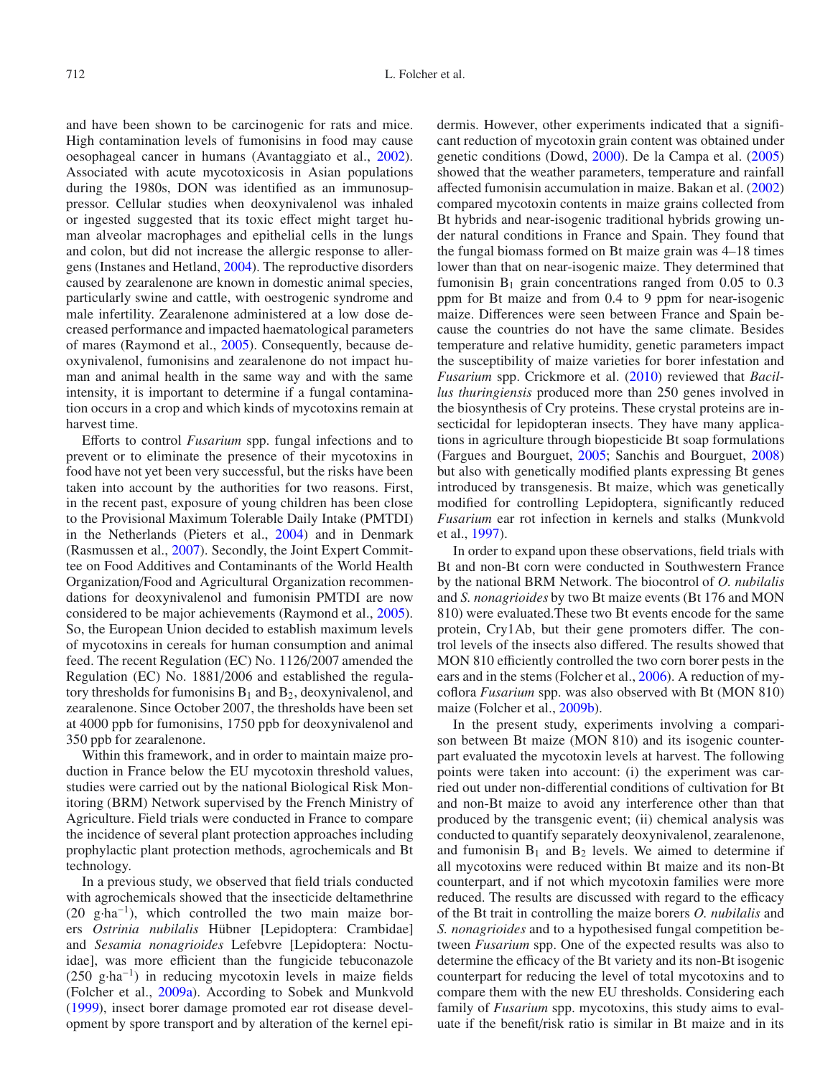and have been shown to be carcinogenic for rats and mice. High contamination levels of fumonisins in food may cause oesophageal cancer in humans (Avantaggiato et al., 2002). Associated with acute mycotoxicosis in Asian populations during the 1980s, DON was identified as an immunosuppressor. Cellular studies when deoxynivalenol was inhaled or ingested suggested that its toxic effect might target human alveolar macrophages and epithelial cells in the lungs and colon, but did not increase the allergic response to allergens (Instanes and Hetland, 2004). The reproductive disorders caused by zearalenone are known in domestic animal species, particularly swine and cattle, with oestrogenic syndrome and male infertility. Zearalenone administered at a low dose decreased performance and impacted haematological parameters of mares (Raymond et al., 2005). Consequently, because deoxynivalenol, fumonisins and zearalenone do not impact human and animal health in the same way and with the same intensity, it is important to determine if a fungal contamination occurs in a crop and which kinds of mycotoxins remain at harvest time.

Efforts to control *Fusarium* spp. fungal infections and to prevent or to eliminate the presence of their mycotoxins in food have not yet been very successful, but the risks have been taken into account by the authorities for two reasons. First, in the recent past, exposure of young children has been close to the Provisional Maximum Tolerable Daily Intake (PMTDI) in the Netherlands (Pieters et al., 2004) and in Denmark (Rasmussen et al., 2007). Secondly, the Joint Expert Committee on Food Additives and Contaminants of the World Health Organization/Food and Agricultural Organization recommendations for deoxynivalenol and fumonisin PMTDI are now considered to be major achievements (Raymond et al., 2005). So, the European Union decided to establish maximum levels of mycotoxins in cereals for human consumption and animal feed. The recent Regulation (EC) No. 1126/2007 amended the Regulation (EC) No. 1881/2006 and established the regulatory thresholds for fumonisins  $B_1$  and  $B_2$ , deoxynivalenol, and zearalenone. Since October 2007, the thresholds have been set at 4000 ppb for fumonisins, 1750 ppb for deoxynivalenol and 350 ppb for zearalenone.

Within this framework, and in order to maintain maize production in France below the EU mycotoxin threshold values, studies were carried out by the national Biological Risk Monitoring (BRM) Network supervised by the French Ministry of Agriculture. Field trials were conducted in France to compare the incidence of several plant protection approaches including prophylactic plant protection methods, agrochemicals and Bt technology.

In a previous study, we observed that field trials conducted with agrochemicals showed that the insecticide deltamethrine (20 g·ha<sup>-1</sup>), which controlled the two main maize borers *Ostrinia nubilalis* Hübner [Lepidoptera: Crambidae] and *Sesamia nonagrioides* Lefebvre [Lepidoptera: Noctuidae], was more efficient than the fungicide tebuconazole (250 g·ha−1) in reducing mycotoxin levels in maize fields (Folcher et al., 2009a). According to Sobek and Munkvold (1999), insect borer damage promoted ear rot disease development by spore transport and by alteration of the kernel epidermis. However, other experiments indicated that a significant reduction of mycotoxin grain content was obtained under genetic conditions (Dowd, 2000). De la Campa et al. (2005) showed that the weather parameters, temperature and rainfall affected fumonisin accumulation in maize. Bakan et al. (2002) compared mycotoxin contents in maize grains collected from Bt hybrids and near-isogenic traditional hybrids growing under natural conditions in France and Spain. They found that the fungal biomass formed on Bt maize grain was 4–18 times lower than that on near-isogenic maize. They determined that fumonisin  $B_1$  grain concentrations ranged from 0.05 to 0.3 ppm for Bt maize and from 0.4 to 9 ppm for near-isogenic maize. Differences were seen between France and Spain because the countries do not have the same climate. Besides temperature and relative humidity, genetic parameters impact the susceptibility of maize varieties for borer infestation and *Fusarium* spp. Crickmore et al. (2010) reviewed that *Bacillus thuringiensis* produced more than 250 genes involved in the biosynthesis of Cry proteins. These crystal proteins are insecticidal for lepidopteran insects. They have many applications in agriculture through biopesticide Bt soap formulations (Fargues and Bourguet, 2005; Sanchis and Bourguet, 2008) but also with genetically modified plants expressing Bt genes introduced by transgenesis. Bt maize, which was genetically modified for controlling Lepidoptera, significantly reduced *Fusarium* ear rot infection in kernels and stalks (Munkvold et al., 1997).

In order to expand upon these observations, field trials with Bt and non-Bt corn were conducted in Southwestern France by the national BRM Network. The biocontrol of *O. nubilalis* and *S. nonagrioides* by two Bt maize events (Bt 176 and MON 810) were evaluated.These two Bt events encode for the same protein, Cry1Ab, but their gene promoters differ. The control levels of the insects also differed. The results showed that MON 810 efficiently controlled the two corn borer pests in the ears and in the stems (Folcher et al., 2006). A reduction of mycoflora *Fusarium* spp. was also observed with Bt (MON 810) maize (Folcher et al., 2009b).

In the present study, experiments involving a comparison between Bt maize (MON 810) and its isogenic counterpart evaluated the mycotoxin levels at harvest. The following points were taken into account: (i) the experiment was carried out under non-differential conditions of cultivation for Bt and non-Bt maize to avoid any interference other than that produced by the transgenic event; (ii) chemical analysis was conducted to quantify separately deoxynivalenol, zearalenone, and fumonisin  $B_1$  and  $B_2$  levels. We aimed to determine if all mycotoxins were reduced within Bt maize and its non-Bt counterpart, and if not which mycotoxin families were more reduced. The results are discussed with regard to the efficacy of the Bt trait in controlling the maize borers *O. nubilalis* and *S. nonagrioides* and to a hypothesised fungal competition between *Fusarium* spp. One of the expected results was also to determine the efficacy of the Bt variety and its non-Bt isogenic counterpart for reducing the level of total mycotoxins and to compare them with the new EU thresholds. Considering each family of *Fusarium* spp. mycotoxins, this study aims to evaluate if the benefit/risk ratio is similar in Bt maize and in its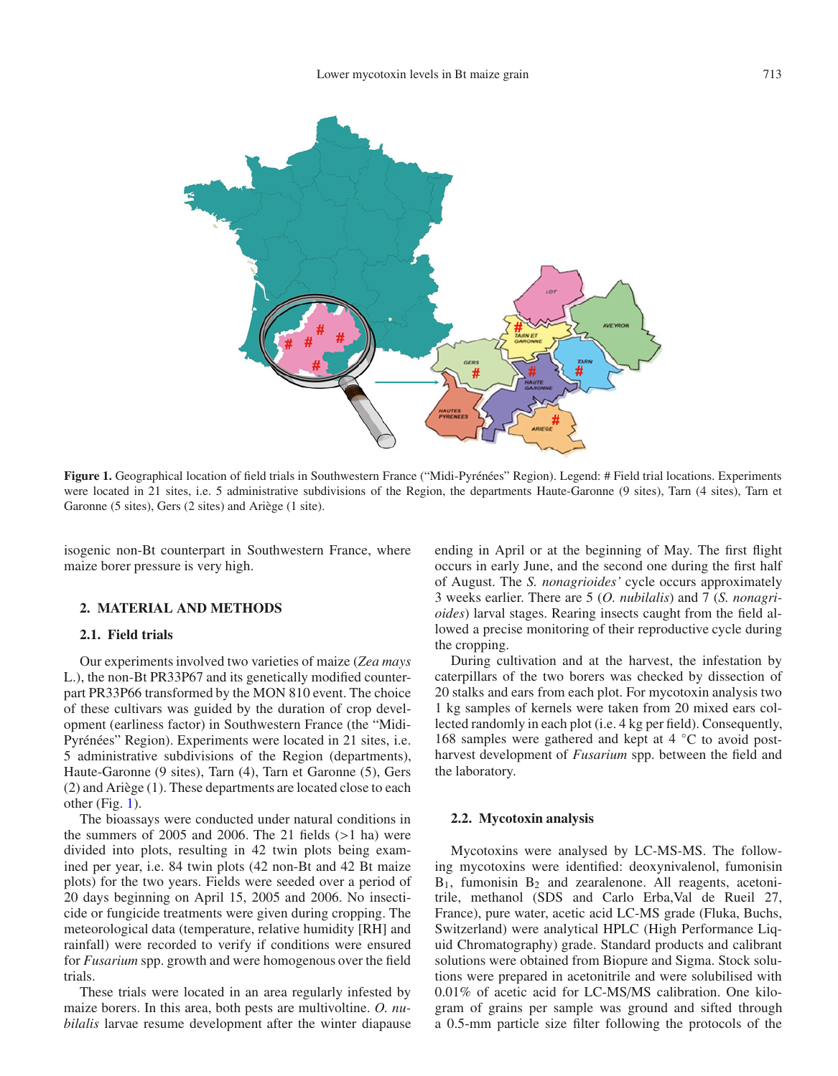

**Figure 1.** Geographical location of field trials in Southwestern France ("Midi-Pyrénées" Region). Legend: # Field trial locations. Experiments were located in 21 sites, i.e. 5 administrative subdivisions of the Region, the departments Haute-Garonne (9 sites), Tarn (4 sites), Tarn et Garonne (5 sites), Gers (2 sites) and Ariège (1 site).

isogenic non-Bt counterpart in Southwestern France, where maize borer pressure is very high.

## **2. MATERIAL AND METHODS**

## **2.1. Field trials**

Our experiments involved two varieties of maize (*Zea mays* L.), the non-Bt PR33P67 and its genetically modified counterpart PR33P66 transformed by the MON 810 event. The choice of these cultivars was guided by the duration of crop development (earliness factor) in Southwestern France (the "Midi-Pyrénées" Region). Experiments were located in 21 sites, i.e. 5 administrative subdivisions of the Region (departments), Haute-Garonne (9 sites), Tarn (4), Tarn et Garonne (5), Gers (2) and Ariège (1). These departments are located close to each other (Fig. 1).

The bioassays were conducted under natural conditions in the summers of 2005 and 2006. The 21 fields  $(>1$  ha) were divided into plots, resulting in 42 twin plots being examined per year, i.e. 84 twin plots (42 non-Bt and 42 Bt maize plots) for the two years. Fields were seeded over a period of 20 days beginning on April 15, 2005 and 2006. No insecticide or fungicide treatments were given during cropping. The meteorological data (temperature, relative humidity [RH] and rainfall) were recorded to verify if conditions were ensured for *Fusarium* spp. growth and were homogenous over the field trials.

These trials were located in an area regularly infested by maize borers. In this area, both pests are multivoltine. *O. nubilalis* larvae resume development after the winter diapause ending in April or at the beginning of May. The first flight occurs in early June, and the second one during the first half of August. The *S. nonagrioides'* cycle occurs approximately 3 weeks earlier. There are 5 (*O. nubilalis*) and 7 (*S. nonagrioides*) larval stages. Rearing insects caught from the field allowed a precise monitoring of their reproductive cycle during the cropping.

During cultivation and at the harvest, the infestation by caterpillars of the two borers was checked by dissection of 20 stalks and ears from each plot. For mycotoxin analysis two 1 kg samples of kernels were taken from 20 mixed ears collected randomly in each plot (i.e. 4 kg per field). Consequently, 168 samples were gathered and kept at  $4 °C$  to avoid postharvest development of *Fusarium* spp. between the field and the laboratory.

## **2.2. Mycotoxin analysis**

Mycotoxins were analysed by LC-MS-MS. The following mycotoxins were identified: deoxynivalenol, fumonisin  $B_1$ , fumonisin  $B_2$  and zearalenone. All reagents, acetonitrile, methanol (SDS and Carlo Erba,Val de Rueil 27, France), pure water, acetic acid LC-MS grade (Fluka, Buchs, Switzerland) were analytical HPLC (High Performance Liquid Chromatography) grade. Standard products and calibrant solutions were obtained from Biopure and Sigma. Stock solutions were prepared in acetonitrile and were solubilised with 0.01% of acetic acid for LC-MS/MS calibration. One kilogram of grains per sample was ground and sifted through a 0.5-mm particle size filter following the protocols of the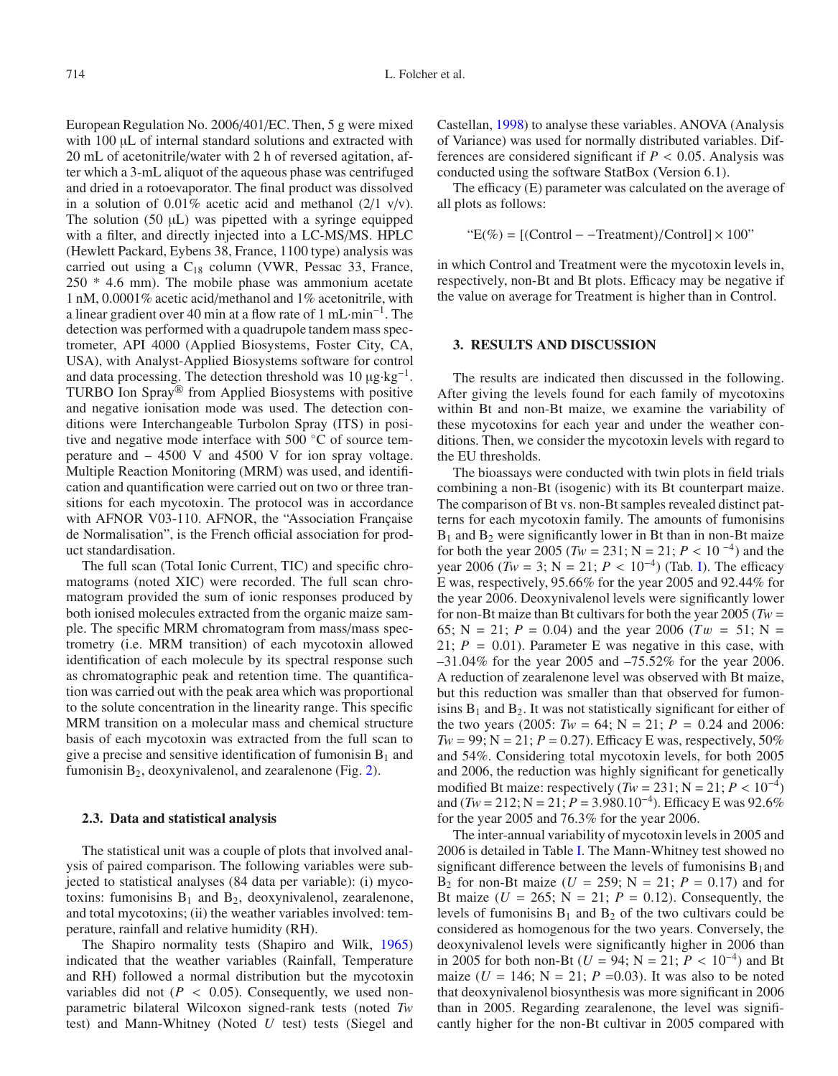European Regulation No. 2006/401/EC. Then, 5 g were mixed with 100 μL of internal standard solutions and extracted with 20 mL of acetonitrile/water with 2 h of reversed agitation, after which a 3-mL aliquot of the aqueous phase was centrifuged and dried in a rotoevaporator. The final product was dissolved in a solution of 0.01% acetic acid and methanol  $(2/1 \text{ v/v})$ . The solution (50 μL) was pipetted with a syringe equipped with a filter, and directly injected into a LC-MS/MS. HPLC (Hewlett Packard, Eybens 38, France, 1100 type) analysis was carried out using a  $C_{18}$  column (VWR, Pessac 33, France, 250 \* 4.6 mm). The mobile phase was ammonium acetate 1 nM, 0.0001% acetic acid/methanol and 1% acetonitrile, with a linear gradient over 40 min at a flow rate of 1 mL·min−1. The detection was performed with a quadrupole tandem mass spectrometer, API 4000 (Applied Biosystems, Foster City, CA, USA), with Analyst-Applied Biosystems software for control and data processing. The detection threshold was  $10 \mu g \cdot kg^{-1}$ . TURBO Ion Spray® from Applied Biosystems with positive and negative ionisation mode was used. The detection conditions were Interchangeable Turbolon Spray (ITS) in positive and negative mode interface with 500 ◦C of source temperature and – 4500 V and 4500 V for ion spray voltage. Multiple Reaction Monitoring (MRM) was used, and identification and quantification were carried out on two or three transitions for each mycotoxin. The protocol was in accordance with AFNOR V03-110. AFNOR, the "Association Française de Normalisation", is the French official association for product standardisation.

The full scan (Total Ionic Current, TIC) and specific chromatograms (noted XIC) were recorded. The full scan chromatogram provided the sum of ionic responses produced by both ionised molecules extracted from the organic maize sample. The specific MRM chromatogram from mass/mass spectrometry (i.e. MRM transition) of each mycotoxin allowed identification of each molecule by its spectral response such as chromatographic peak and retention time. The quantification was carried out with the peak area which was proportional to the solute concentration in the linearity range. This specific MRM transition on a molecular mass and chemical structure basis of each mycotoxin was extracted from the full scan to give a precise and sensitive identification of fumonisin  $B_1$  and fumonisin  $B_2$ , deoxynivalenol, and zearalenone (Fig. 2).

#### **2.3. Data and statistical analysis**

The statistical unit was a couple of plots that involved analysis of paired comparison. The following variables were subjected to statistical analyses (84 data per variable): (i) mycotoxins: fumonisins  $B_1$  and  $B_2$ , deoxynivalenol, zearalenone, and total mycotoxins; (ii) the weather variables involved: temperature, rainfall and relative humidity (RH).

The Shapiro normality tests (Shapiro and Wilk, 1965) indicated that the weather variables (Rainfall, Temperature and RH) followed a normal distribution but the mycotoxin variables did not ( $P < 0.05$ ). Consequently, we used nonparametric bilateral Wilcoxon signed-rank tests (noted *Tw* test) and Mann-Whitney (Noted *U* test) tests (Siegel and Castellan, 1998) to analyse these variables. ANOVA (Analysis of Variance) was used for normally distributed variables. Differences are considered significant if  $P < 0.05$ . Analysis was conducted using the software StatBox (Version 6.1).

The efficacy (E) parameter was calculated on the average of all plots as follows:

$$
E(\%) = [(\text{Control} - \text{Treatment}) / \text{Control}] \times 100
$$

in which Control and Treatment were the mycotoxin levels in, respectively, non-Bt and Bt plots. Efficacy may be negative if the value on average for Treatment is higher than in Control.

# **3. RESULTS AND DISCUSSION**

The results are indicated then discussed in the following. After giving the levels found for each family of mycotoxins within Bt and non-Bt maize, we examine the variability of these mycotoxins for each year and under the weather conditions. Then, we consider the mycotoxin levels with regard to the EU thresholds.

The bioassays were conducted with twin plots in field trials combining a non-Bt (isogenic) with its Bt counterpart maize. The comparison of Bt vs. non-Bt samples revealed distinct patterns for each mycotoxin family. The amounts of fumonisins  $B_1$  and  $B_2$  were significantly lower in Bt than in non-Bt maize for both the year 2005 ( $Tw = 231$ ;  $N = 21$ ;  $P < 10^{-4}$ ) and the year 2006 ( $Tw = 3$ ; N = 21;  $P < 10^{-4}$ ) (Tab. I). The efficacy E was, respectively, 95.66% for the year 2005 and 92.44% for the year 2006. Deoxynivalenol levels were significantly lower for non-Bt maize than Bt cultivars for both the year  $2005$  (*Tw* = 65; N = 21;  $P = 0.04$ ) and the year 2006 ( $Tw = 51$ ; N = 21;  $P = 0.01$ ). Parameter E was negative in this case, with –31.04% for the year 2005 and –75.52% for the year 2006. A reduction of zearalenone level was observed with Bt maize, but this reduction was smaller than that observed for fumonisins  $B_1$  and  $B_2$ . It was not statistically significant for either of the two years (2005:  $Tw = 64$ ;  $N = 21$ ;  $P = 0.24$  and 2006:  $Tw = 99$ ;  $N = 21$ ;  $P = 0.27$ ). Efficacy E was, respectively, 50% and 54%. Considering total mycotoxin levels, for both 2005 and 2006, the reduction was highly significant for genetically modified Bt maize: respectively  $(Tw = 231; N = 21; P < 10^{-4})$ and  $(Tw = 212; N = 21; P = 3.980.10^{-4})$ . Efficacy E was 92.6% for the year 2005 and 76.3% for the year 2006.

The inter-annual variability of mycotoxin levels in 2005 and 2006 is detailed in Table I. The Mann-Whitney test showed no significant difference between the levels of fumonisins  $B_1$  and  $B_2$  for non-Bt maize (*U* = 259; N = 21; *P* = 0.17) and for Bt maize ( $U = 265$ ;  $N = 21$ ;  $P = 0.12$ ). Consequently, the levels of fumonisins  $B_1$  and  $B_2$  of the two cultivars could be considered as homogenous for the two years. Conversely, the deoxynivalenol levels were significantly higher in 2006 than in 2005 for both non-Bt ( $U = 94$ ; N = 21;  $P < 10^{-4}$ ) and Bt maize ( $U = 146$ ;  $N = 21$ ;  $P = 0.03$ ). It was also to be noted that deoxynivalenol biosynthesis was more significant in 2006 than in 2005. Regarding zearalenone, the level was significantly higher for the non-Bt cultivar in 2005 compared with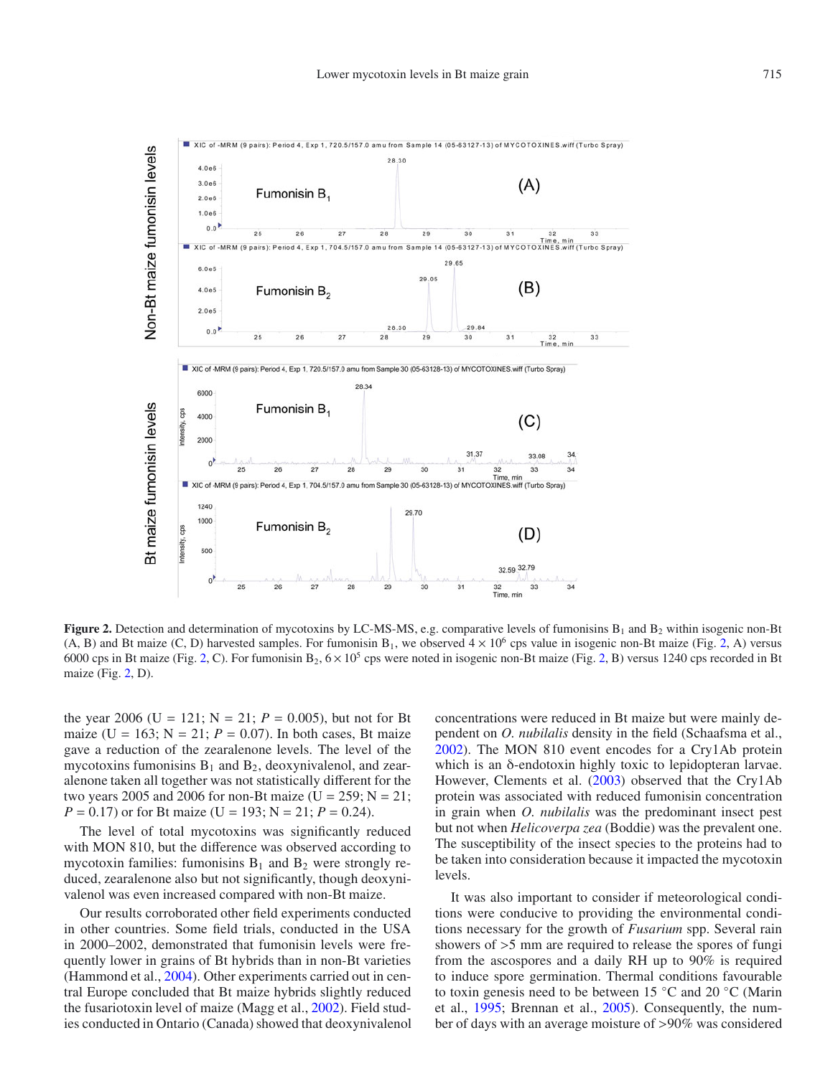

**Figure 2.** Detection and determination of mycotoxins by LC-MS-MS, e.g. comparative levels of fumonisins  $B_1$  and  $B_2$  within isogenic non-Bt (A, B) and Bt maize (C, D) harvested samples. For fumonisin B<sub>1</sub>, we observed  $4 \times 10^6$  cps value in isogenic non-Bt maize (Fig. 2, A) versus 6000 cps in Bt maize (Fig. 2, C). For fumonisin  $B_2$ ,  $6 \times 10^5$  cps were noted in isogenic non-Bt maize (Fig. 2, B) versus 1240 cps recorded in Bt maize (Fig. 2, D).

the year 2006 (U = 121;  $N = 21$ ;  $P = 0.005$ ), but not for Bt maize (U = 163;  $N = 21$ ;  $P = 0.07$ ). In both cases, Bt maize gave a reduction of the zearalenone levels. The level of the mycotoxins fumonisins  $B_1$  and  $B_2$ , deoxynivalenol, and zearalenone taken all together was not statistically different for the two years 2005 and 2006 for non-Bt maize ( $U = 259$ ;  $N = 21$ ;  $P = 0.17$  or for Bt maize (U = 193; N = 21;  $P = 0.24$ ).

The level of total mycotoxins was significantly reduced with MON 810, but the difference was observed according to mycotoxin families: fumonisins  $B_1$  and  $B_2$  were strongly reduced, zearalenone also but not significantly, though deoxynivalenol was even increased compared with non-Bt maize.

Our results corroborated other field experiments conducted in other countries. Some field trials, conducted in the USA in 2000–2002, demonstrated that fumonisin levels were frequently lower in grains of Bt hybrids than in non-Bt varieties (Hammond et al., 2004). Other experiments carried out in central Europe concluded that Bt maize hybrids slightly reduced the fusariotoxin level of maize (Magg et al., 2002). Field studies conducted in Ontario (Canada) showed that deoxynivalenol concentrations were reduced in Bt maize but were mainly dependent on *O. nubilalis* density in the field (Schaafsma et al., 2002). The MON 810 event encodes for a Cry1Ab protein which is an δ-endotoxin highly toxic to lepidopteran larvae. However, Clements et al. (2003) observed that the Cry1Ab protein was associated with reduced fumonisin concentration in grain when *O. nubilalis* was the predominant insect pest but not when *Helicoverpa zea* (Boddie) was the prevalent one. The susceptibility of the insect species to the proteins had to be taken into consideration because it impacted the mycotoxin levels.

It was also important to consider if meteorological conditions were conducive to providing the environmental conditions necessary for the growth of *Fusarium* spp. Several rain showers of >5 mm are required to release the spores of fungi from the ascospores and a daily RH up to 90% is required to induce spore germination. Thermal conditions favourable to toxin genesis need to be between 15 ◦C and 20 ◦C (Marin et al., 1995; Brennan et al., 2005). Consequently, the number of days with an average moisture of >90% was considered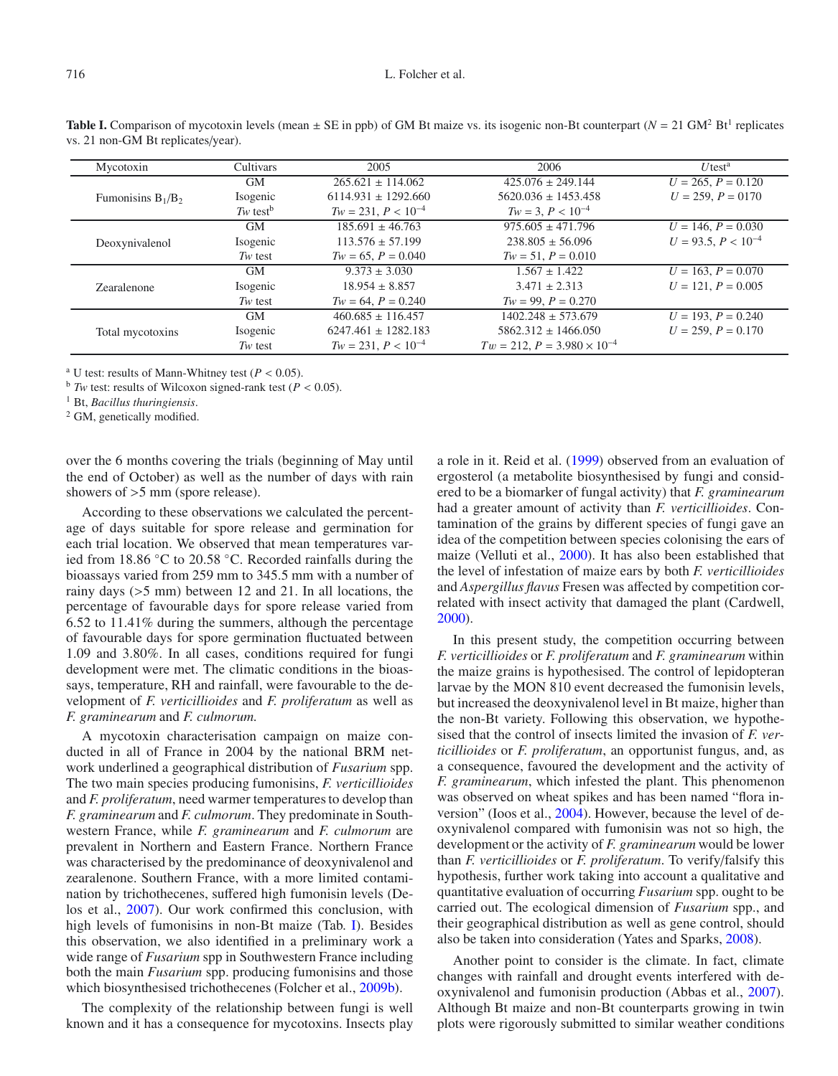#### 716 L. Folcher et al.

| Mycotoxin            | Cultivars              | 2005                    | 2006                                 | $U$ test <sup>a</sup>   |
|----------------------|------------------------|-------------------------|--------------------------------------|-------------------------|
| Fumonisins $B_1/B_2$ | <b>GM</b>              | $265.621 \pm 114.062$   | $425.076 \pm 249.144$                | $U = 265, P = 0.120$    |
|                      | Isogenic               | $6114.931 \pm 1292.660$ | $5620.036 \pm 1453.458$              | $U = 259, P = 0170$     |
|                      | $Tw$ test <sup>b</sup> | $Tw = 231, P < 10^{-4}$ | $Tw = 3, P < 10^{-4}$                |                         |
| Deoxynivalenol       | <b>GM</b>              | $185.691 \pm 46.763$    | $975.605 \pm 471.796$                | $U = 146, P = 0.030$    |
|                      | Isogenic               | $113.576 \pm 57.199$    | $238.805 + 56.096$                   | $U = 93.5, P < 10^{-4}$ |
|                      | $Tw$ test              | $Tw = 65, P = 0.040$    | $Tw = 51, P = 0.010$                 |                         |
| Zearalenone          | <b>GM</b>              | $9.373 \pm 3.030$       | $1.567 \pm 1.422$                    | $U = 163, P = 0.070$    |
|                      | Isogenic               | $18.954 \pm 8.857$      | $3.471 \pm 2.313$                    | $U = 121$ , $P = 0.005$ |
|                      | $Tw$ test              | $Tw = 64, P = 0.240$    | $Tw = 99, P = 0.270$                 |                         |
| Total mycotoxins     | <b>GM</b>              | $460.685 \pm 116.457$   | $1402.248 \pm 573.679$               | $U = 193, P = 0.240$    |
|                      | Isogenic               | $6247.461 \pm 1282.183$ | $5862.312 \pm 1466.050$              | $U = 259, P = 0.170$    |
|                      | $Tw$ test              | $Tw = 231, P < 10^{-4}$ | $Tw = 212, P = 3.980 \times 10^{-4}$ |                         |

**Table I.** Comparison of mycotoxin levels (mean  $\pm$  SE in ppb) of GM Bt maize vs. its isogenic non-Bt counterpart ( $N = 21$  GM<sup>2</sup> Bt<sup>1</sup> replicates vs. 21 non-GM Bt replicates/year).

<sup>a</sup> U test: results of Mann-Whitney test ( $P < 0.05$ ).

 $<sup>b</sup>$  *Tw* test: results of Wilcoxon signed-rank test (*P* < 0.05).</sup>

<sup>1</sup> Bt, *Bacillus thuringiensis*.

<sup>2</sup> GM, genetically modified.

over the 6 months covering the trials (beginning of May until the end of October) as well as the number of days with rain showers of >5 mm (spore release).

According to these observations we calculated the percentage of days suitable for spore release and germination for each trial location. We observed that mean temperatures varied from 18.86 ◦C to 20.58 ◦C. Recorded rainfalls during the bioassays varied from 259 mm to 345.5 mm with a number of rainy days (>5 mm) between 12 and 21. In all locations, the percentage of favourable days for spore release varied from 6.52 to 11.41% during the summers, although the percentage of favourable days for spore germination fluctuated between 1.09 and 3.80%. In all cases, conditions required for fungi development were met. The climatic conditions in the bioassays, temperature, RH and rainfall, were favourable to the development of *F. verticillioides* and *F. proliferatum* as well as *F. graminearum* and *F. culmorum.*

A mycotoxin characterisation campaign on maize conducted in all of France in 2004 by the national BRM network underlined a geographical distribution of *Fusarium* spp. The two main species producing fumonisins, *F. verticillioides* and *F. proliferatum*, need warmer temperatures to develop than *F. graminearum* and *F. culmorum*. They predominate in Southwestern France, while *F. graminearum* and *F. culmorum* are prevalent in Northern and Eastern France. Northern France was characterised by the predominance of deoxynivalenol and zearalenone. Southern France, with a more limited contamination by trichothecenes, suffered high fumonisin levels (Delos et al., 2007). Our work confirmed this conclusion, with high levels of fumonisins in non-Bt maize (Tab. I). Besides this observation, we also identified in a preliminary work a wide range of *Fusarium* spp in Southwestern France including both the main *Fusarium* spp. producing fumonisins and those which biosynthesised trichothecenes (Folcher et al., 2009b).

The complexity of the relationship between fungi is well known and it has a consequence for mycotoxins. Insects play a role in it. Reid et al. (1999) observed from an evaluation of ergosterol (a metabolite biosynthesised by fungi and considered to be a biomarker of fungal activity) that *F. graminearum* had a greater amount of activity than *F. verticillioides*. Contamination of the grains by different species of fungi gave an idea of the competition between species colonising the ears of maize (Velluti et al., 2000). It has also been established that the level of infestation of maize ears by both *F. verticillioides* and *Aspergillus flavus* Fresen was affected by competition correlated with insect activity that damaged the plant (Cardwell, 2000).

In this present study, the competition occurring between *F. verticillioides* or *F. proliferatum* and *F. graminearum* within the maize grains is hypothesised. The control of lepidopteran larvae by the MON 810 event decreased the fumonisin levels, but increased the deoxynivalenol level in Bt maize, higher than the non-Bt variety. Following this observation, we hypothesised that the control of insects limited the invasion of *F. verticillioides* or *F. proliferatum*, an opportunist fungus, and, as a consequence, favoured the development and the activity of *F. graminearum*, which infested the plant. This phenomenon was observed on wheat spikes and has been named "flora inversion" (Ioos et al., 2004). However, because the level of deoxynivalenol compared with fumonisin was not so high, the development or the activity of *F. graminearum* would be lower than *F. verticillioides* or *F. proliferatum*. To verify/falsify this hypothesis, further work taking into account a qualitative and quantitative evaluation of occurring *Fusarium* spp. ought to be carried out. The ecological dimension of *Fusarium* spp., and their geographical distribution as well as gene control, should also be taken into consideration (Yates and Sparks, 2008).

Another point to consider is the climate. In fact, climate changes with rainfall and drought events interfered with deoxynivalenol and fumonisin production (Abbas et al., 2007). Although Bt maize and non-Bt counterparts growing in twin plots were rigorously submitted to similar weather conditions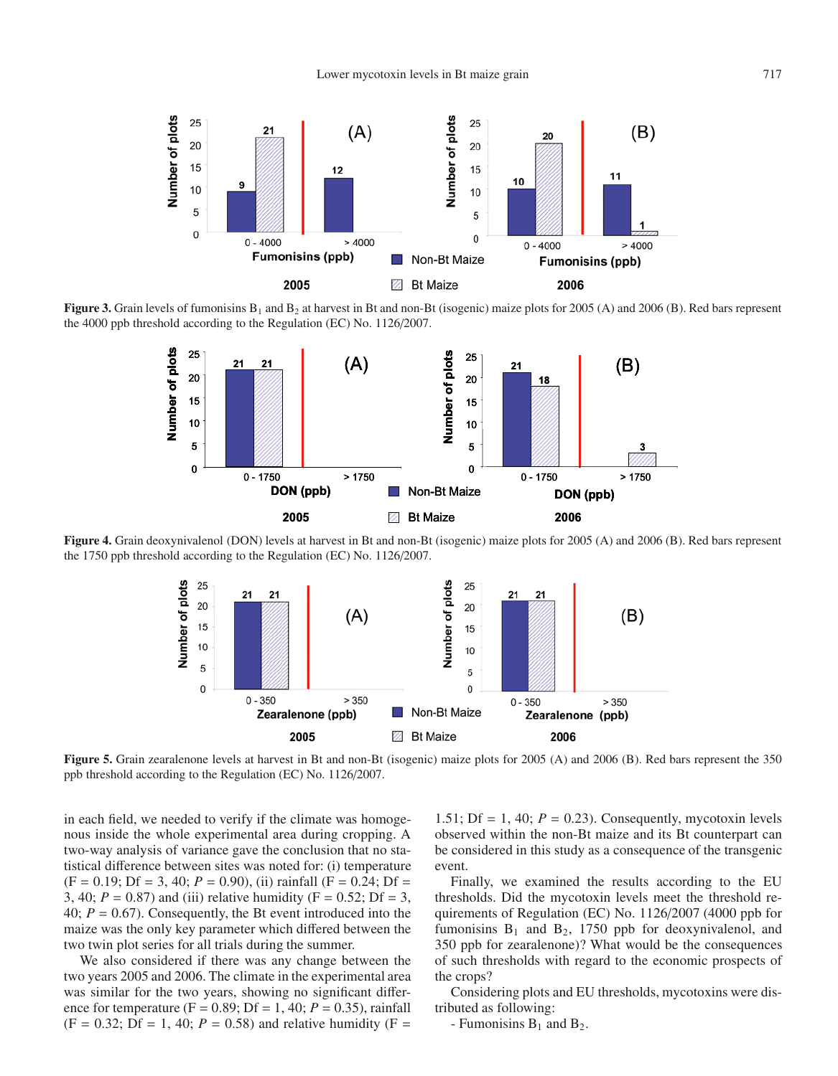

**Figure 3.** Grain levels of fumonisins  $B_1$  and  $B_2$  at harvest in Bt and non-Bt (isogenic) maize plots for 2005 (A) and 2006 (B). Red bars represent the 4000 ppb threshold according to the Regulation (EC) No. 1126/2007.



**Figure 4.** Grain deoxynivalenol (DON) levels at harvest in Bt and non-Bt (isogenic) maize plots for 2005 (A) and 2006 (B). Red bars represent the 1750 ppb threshold according to the Regulation (EC) No. 1126/2007.



**Figure 5.** Grain zearalenone levels at harvest in Bt and non-Bt (isogenic) maize plots for 2005 (A) and 2006 (B). Red bars represent the 350 ppb threshold according to the Regulation (EC) No. 1126/2007.

in each field, we needed to verify if the climate was homogenous inside the whole experimental area during cropping. A two-way analysis of variance gave the conclusion that no statistical difference between sites was noted for: (i) temperature  $(F = 0.19; Df = 3, 40; P = 0.90)$ , (ii) rainfall  $(F = 0.24; Df =$ 3, 40;  $P = 0.87$ ) and (iii) relative humidity ( $F = 0.52$ ; Df = 3, 40; *P* = 0.67). Consequently, the Bt event introduced into the maize was the only key parameter which differed between the two twin plot series for all trials during the summer.

We also considered if there was any change between the two years 2005 and 2006. The climate in the experimental area was similar for the two years, showing no significant difference for temperature (F =  $0.89$ ; Df = 1, 40; *P* = 0.35), rainfall  $(F = 0.32; Df = 1, 40; P = 0.58)$  and relative humidity  $(F = 0.32; Df = 1, 40; P = 0.58)$ 

1.51; Df = 1, 40;  $P = 0.23$ ). Consequently, mycotoxin levels observed within the non-Bt maize and its Bt counterpart can be considered in this study as a consequence of the transgenic event.

Finally, we examined the results according to the EU thresholds. Did the mycotoxin levels meet the threshold requirements of Regulation (EC) No. 1126/2007 (4000 ppb for fumonisins  $B_1$  and  $B_2$ , 1750 ppb for deoxynivalenol, and 350 ppb for zearalenone)? What would be the consequences of such thresholds with regard to the economic prospects of the crops?

Considering plots and EU thresholds, mycotoxins were distributed as following:

- Fumonisins  $B_1$  and  $B_2$ .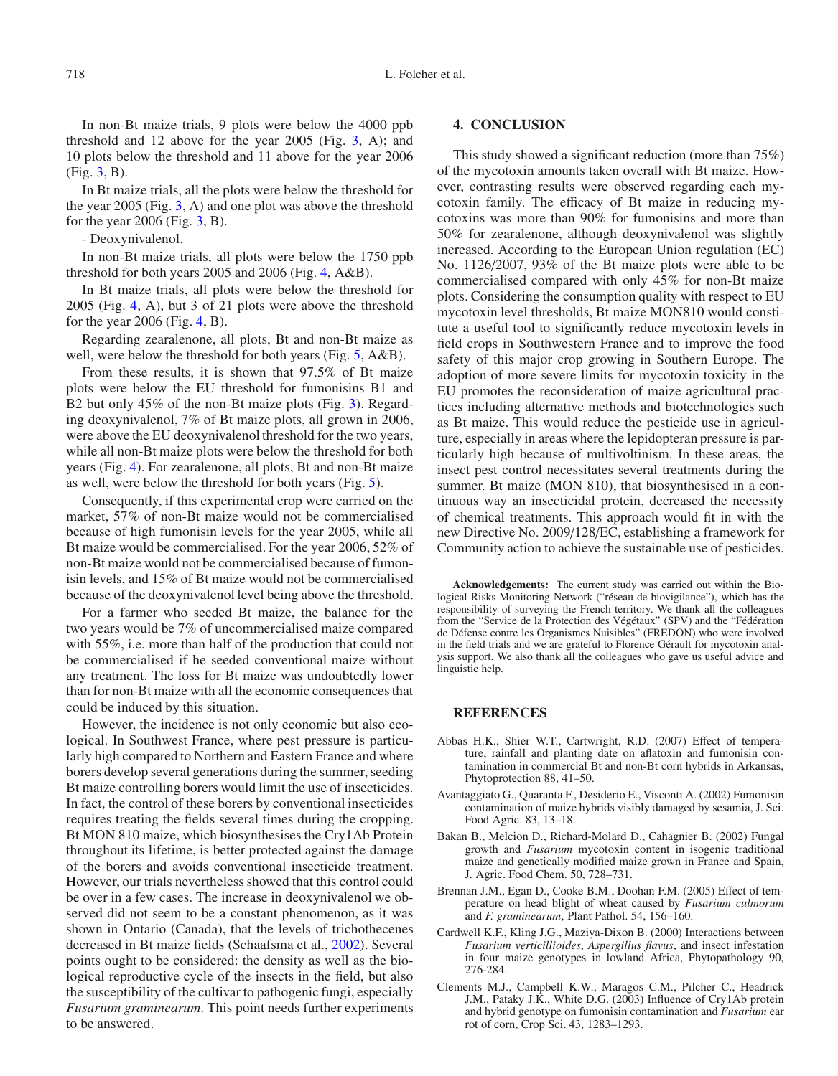In non-Bt maize trials, 9 plots were below the 4000 ppb threshold and 12 above for the year  $2005$  (Fig. 3, A); and 10 plots below the threshold and 11 above for the year 2006 (Fig. 3, B).

In Bt maize trials, all the plots were below the threshold for the year 2005 (Fig. 3, A) and one plot was above the threshold for the year  $2006$  (Fig. 3, B).

- Deoxynivalenol.

In non-Bt maize trials, all plots were below the 1750 ppb threshold for both years 2005 and 2006 (Fig. 4, A&B).

In Bt maize trials, all plots were below the threshold for 2005 (Fig. 4, A), but 3 of 21 plots were above the threshold for the year  $2006$  (Fig. 4, B).

Regarding zearalenone, all plots, Bt and non-Bt maize as well, were below the threshold for both years (Fig. 5, A&B).

From these results, it is shown that 97.5% of Bt maize plots were below the EU threshold for fumonisins B1 and B2 but only 45% of the non-Bt maize plots (Fig. 3). Regarding deoxynivalenol, 7% of Bt maize plots, all grown in 2006, were above the EU deoxynivalenol threshold for the two years, while all non-Bt maize plots were below the threshold for both years (Fig. 4). For zearalenone, all plots, Bt and non-Bt maize as well, were below the threshold for both years (Fig. 5).

Consequently, if this experimental crop were carried on the market, 57% of non-Bt maize would not be commercialised because of high fumonisin levels for the year 2005, while all Bt maize would be commercialised. For the year 2006, 52% of non-Bt maize would not be commercialised because of fumonisin levels, and 15% of Bt maize would not be commercialised because of the deoxynivalenol level being above the threshold.

For a farmer who seeded Bt maize, the balance for the two years would be 7% of uncommercialised maize compared with 55%, i.e. more than half of the production that could not be commercialised if he seeded conventional maize without any treatment. The loss for Bt maize was undoubtedly lower than for non-Bt maize with all the economic consequences that could be induced by this situation.

However, the incidence is not only economic but also ecological. In Southwest France, where pest pressure is particularly high compared to Northern and Eastern France and where borers develop several generations during the summer, seeding Bt maize controlling borers would limit the use of insecticides. In fact, the control of these borers by conventional insecticides requires treating the fields several times during the cropping. Bt MON 810 maize, which biosynthesises the Cry1Ab Protein throughout its lifetime, is better protected against the damage of the borers and avoids conventional insecticide treatment. However, our trials nevertheless showed that this control could be over in a few cases. The increase in deoxynivalenol we observed did not seem to be a constant phenomenon, as it was shown in Ontario (Canada), that the levels of trichothecenes decreased in Bt maize fields (Schaafsma et al., 2002). Several points ought to be considered: the density as well as the biological reproductive cycle of the insects in the field, but also the susceptibility of the cultivar to pathogenic fungi, especially *Fusarium graminearum*. This point needs further experiments to be answered.

## **4. CONCLUSION**

This study showed a significant reduction (more than 75%) of the mycotoxin amounts taken overall with Bt maize. However, contrasting results were observed regarding each mycotoxin family. The efficacy of Bt maize in reducing mycotoxins was more than 90% for fumonisins and more than 50% for zearalenone, although deoxynivalenol was slightly increased. According to the European Union regulation (EC) No. 1126/2007, 93% of the Bt maize plots were able to be commercialised compared with only 45% for non-Bt maize plots. Considering the consumption quality with respect to EU mycotoxin level thresholds, Bt maize MON810 would constitute a useful tool to significantly reduce mycotoxin levels in field crops in Southwestern France and to improve the food safety of this major crop growing in Southern Europe. The adoption of more severe limits for mycotoxin toxicity in the EU promotes the reconsideration of maize agricultural practices including alternative methods and biotechnologies such as Bt maize. This would reduce the pesticide use in agriculture, especially in areas where the lepidopteran pressure is particularly high because of multivoltinism. In these areas, the insect pest control necessitates several treatments during the summer. Bt maize (MON 810), that biosynthesised in a continuous way an insecticidal protein, decreased the necessity of chemical treatments. This approach would fit in with the new Directive No. 2009/128/EC, establishing a framework for Community action to achieve the sustainable use of pesticides.

**Acknowledgements:** The current study was carried out within the Biological Risks Monitoring Network ("réseau de biovigilance"), which has the responsibility of surveying the French territory. We thank all the colleagues from the "Service de la Protection des Végétaux" (SPV) and the "Fédération de Défense contre les Organismes Nuisibles" (FREDON) who were involved in the field trials and we are grateful to Florence Gérault for mycotoxin analysis support. We also thank all the colleagues who gave us useful advice and linguistic help.

## **REFERENCES**

- Abbas H.K., Shier W.T., Cartwright, R.D. (2007) Effect of temperature, rainfall and planting date on aflatoxin and fumonisin contamination in commercial Bt and non-Bt corn hybrids in Arkansas, Phytoprotection 88, 41–50.
- Avantaggiato G., Quaranta F., Desiderio E., Visconti A. (2002) Fumonisin contamination of maize hybrids visibly damaged by sesamia, J. Sci. Food Agric. 83, 13–18.
- Bakan B., Melcion D., Richard-Molard D., Cahagnier B. (2002) Fungal growth and *Fusarium* mycotoxin content in isogenic traditional maize and genetically modified maize grown in France and Spain, J. Agric. Food Chem. 50, 728–731.
- Brennan J.M., Egan D., Cooke B.M., Doohan F.M. (2005) Effect of temperature on head blight of wheat caused by *Fusarium culmorum* and *F. graminearum*, Plant Pathol. 54, 156–160.
- Cardwell K.F., Kling J.G., Maziya-Dixon B. (2000) Interactions between *Fusarium verticillioides*, *Aspergillus flavus*, and insect infestation in four maize genotypes in lowland Africa, Phytopathology 90, 276-284.
- Clements M.J., Campbell K.W., Maragos C.M., Pilcher C., Headrick J.M., Pataky J.K., White D.G. (2003) Influence of Cry1Ab protein and hybrid genotype on fumonisin contamination and *Fusarium* ear rot of corn, Crop Sci. 43, 1283–1293.